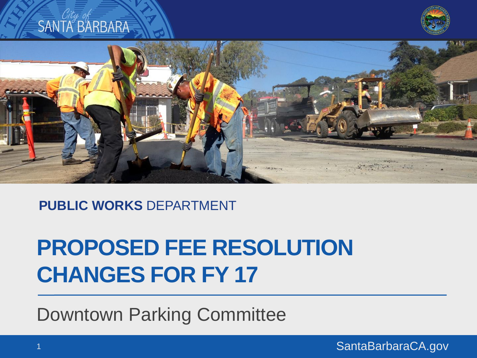

**PUBLIC WORKS** DEPARTMENT

#### **PROPOSED FEE RESOLUTION CHANGES FOR FY 17**

Downtown Parking Committee

SantaBarbaraCA.gov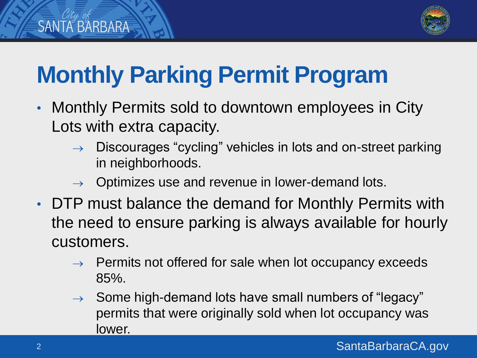

# **Monthly Parking Permit Program**

- Monthly Permits sold to downtown employees in City Lots with extra capacity.
	- $\rightarrow$  Discourages "cycling" vehicles in lots and on-street parking in neighborhoods.
	- Optimizes use and revenue in lower-demand lots.
- DTP must balance the demand for Monthly Permits with the need to ensure parking is always available for hourly customers.
	- $\rightarrow$  Permits not offered for sale when lot occupancy exceeds 85%.
	- $\rightarrow$  Some high-demand lots have small numbers of "legacy" permits that were originally sold when lot occupancy was lower.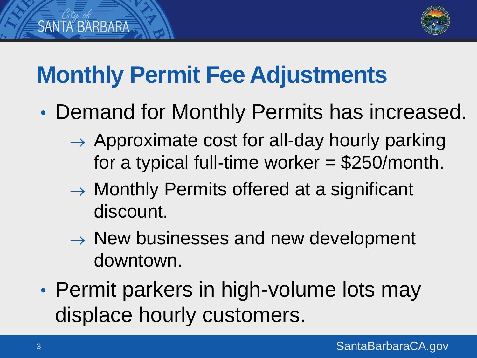

## **Monthly Permit Fee Adjustments**

- Demand for Monthly Permits has increased.
	- $\rightarrow$  Approximate cost for all-day hourly parking for a typical full-time worker = \$250/month.
	- $\rightarrow$  Monthly Permits offered at a significant discount.
	- $\rightarrow$  New businesses and new development downtown.
- Permit parkers in high-volume lots may displace hourly customers.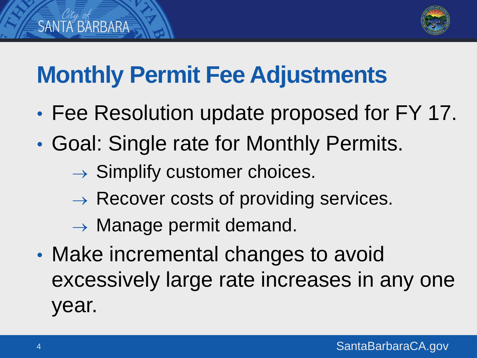

## **Monthly Permit Fee Adjustments**

- Fee Resolution update proposed for FY 17.
- Goal: Single rate for Monthly Permits.
	- $\rightarrow$  Simplify customer choices.
	- $\rightarrow$  Recover costs of providing services.
	- $\rightarrow$  Manage permit demand.
- Make incremental changes to avoid excessively large rate increases in any one year.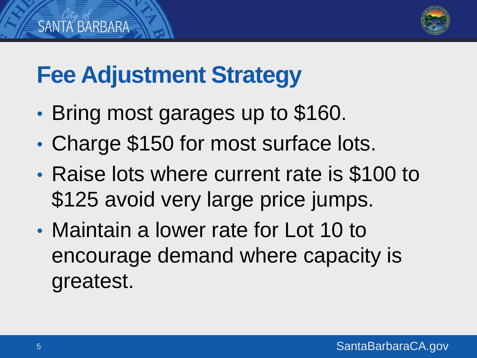

### **Fee Adjustment Strategy**

- Bring most garages up to \$160.
- Charge \$150 for most surface lots.
- Raise lots where current rate is \$100 to \$125 avoid very large price jumps.
- Maintain a lower rate for Lot 10 to encourage demand where capacity is greatest.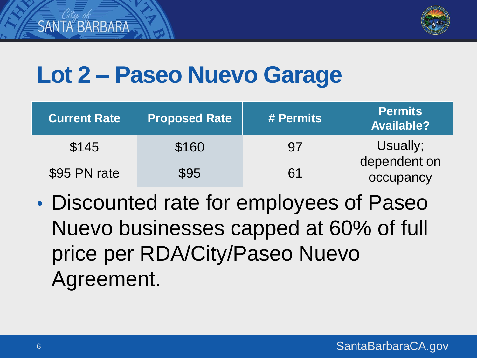

### **Lot 2 – Paseo Nuevo Garage**

| <b>Current Rate</b> | <b>Proposed Rate</b> | # Permits | <b>Permits</b><br><b>Available?</b> |
|---------------------|----------------------|-----------|-------------------------------------|
| \$145               | \$160                | .97       | Usually;                            |
| \$95 PN rate        | \$95                 | 61        | dependent on<br>occupancy           |

• Discounted rate for employees of Paseo Nuevo businesses capped at 60% of full price per RDA/City/Paseo Nuevo Agreement.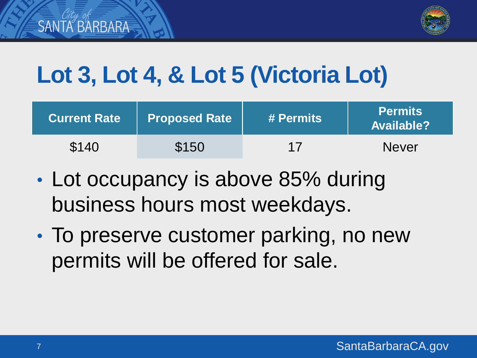

# **Lot 3, Lot 4, & Lot 5 (Victoria Lot)**

| <b>Current Rate</b> | <b>Proposed Rate</b> | # Permits | <b>Permits</b><br><b>Available?</b> |
|---------------------|----------------------|-----------|-------------------------------------|
| \$140               | \$150                | 17        | <b>Never</b>                        |

- Lot occupancy is above 85% during business hours most weekdays.
- To preserve customer parking, no new permits will be offered for sale.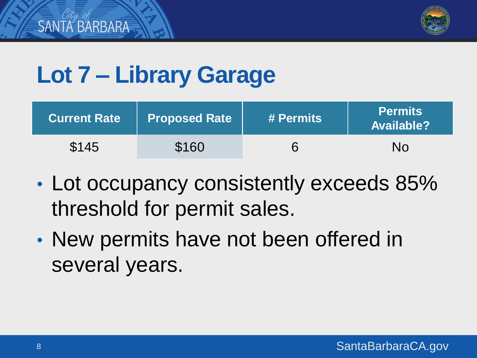

## **Lot 7 – Library Garage**

| Current Rate | Proposed Rate | # Permits | <b>Permits</b><br><b>Available?</b> |
|--------------|---------------|-----------|-------------------------------------|
| \$145        | \$160         |           | No                                  |

- Lot occupancy consistently exceeds 85% threshold for permit sales.
- New permits have not been offered in several years.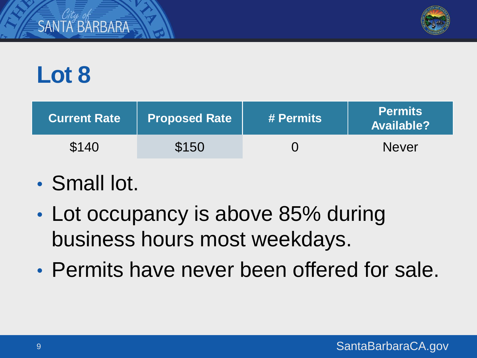

# **Lot 8**

*SANTA BARBARA* 

| <b>Current Rate</b> | <b>Proposed Rate</b> | # Permits | <b>Permits</b><br><b>Available?</b> |
|---------------------|----------------------|-----------|-------------------------------------|
| \$140               | \$150                |           | <b>Never</b>                        |

#### • Small lot.

- Lot occupancy is above 85% during business hours most weekdays.
- Permits have never been offered for sale.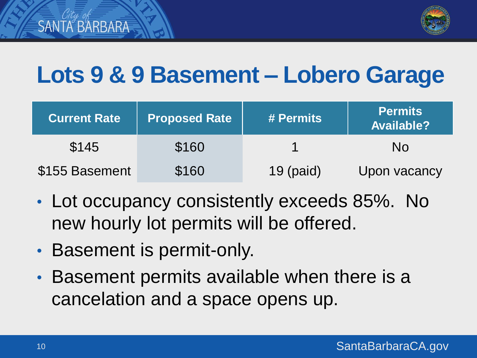

### **Lots 9 & 9 Basement – Lobero Garage**

| <b>Current Rate</b> | <b>Proposed Rate</b> | # Permits | <b>Permits</b><br><b>Available?</b> |
|---------------------|----------------------|-----------|-------------------------------------|
| \$145               | \$160                |           | No                                  |
| \$155 Basement      | \$160                | 19 (paid) | Upon vacancy                        |

- Lot occupancy consistently exceeds 85%. No new hourly lot permits will be offered.
- Basement is permit-only.
- Basement permits available when there is a cancelation and a space opens up.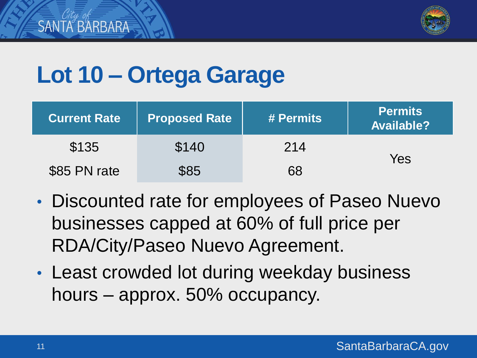

## **Lot 10 – Ortega Garage**

| <b>Current Rate</b> | <b>Proposed Rate</b> | # Permits | <b>Permits</b><br><b>Available?</b> |
|---------------------|----------------------|-----------|-------------------------------------|
| \$135               | \$140                | 214       |                                     |
| \$85 PN rate        | \$85                 | 68        | Yes                                 |

- Discounted rate for employees of Paseo Nuevo businesses capped at 60% of full price per RDA/City/Paseo Nuevo Agreement.
- Least crowded lot during weekday business hours – approx. 50% occupancy.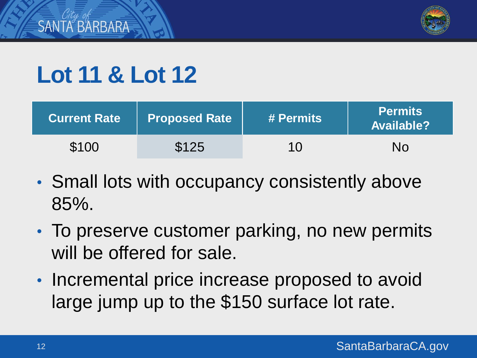

# **Lot 11 & Lot 12**

| <b>Current Rate</b> | Proposed Rate | # Permits | <b>Permits</b><br><b>Available?</b> |
|---------------------|---------------|-----------|-------------------------------------|
| \$100               | \$125         | 10        | No                                  |

- Small lots with occupancy consistently above 85%.
- To preserve customer parking, no new permits will be offered for sale.
- Incremental price increase proposed to avoid large jump up to the \$150 surface lot rate.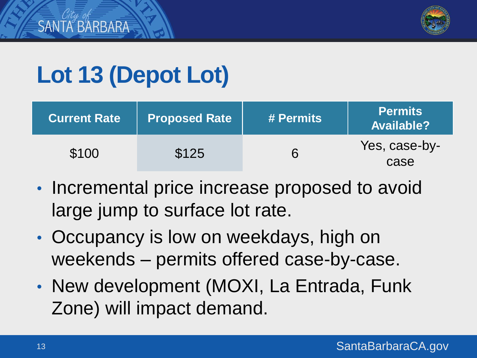

# **Lot 13 (Depot Lot)**

| <b>Current Rate</b> | <b>Proposed Rate</b> | # Permits | <b>Permits</b><br><b>Available?</b> |
|---------------------|----------------------|-----------|-------------------------------------|
| \$100               | \$125                | 6         | Yes, case-by-<br>case               |

- Incremental price increase proposed to avoid large jump to surface lot rate.
- Occupancy is low on weekdays, high on weekends – permits offered case-by-case.
- New development (MOXI, La Entrada, Funk Zone) will impact demand.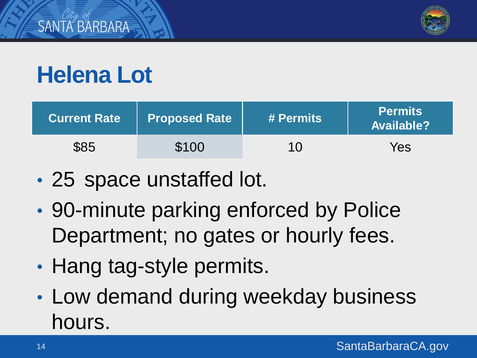

# **Helena Lot**

| <b>Current Rate</b> | Proposed Rate | # Permits | <b>Permits</b><br><b>Available?</b> |
|---------------------|---------------|-----------|-------------------------------------|
| \$85                | \$100         | 10        | Yes                                 |

- 25 space unstaffed lot.
- 90-minute parking enforced by Police Department; no gates or hourly fees.
- Hang tag-style permits.
- Low demand during weekday business hours.